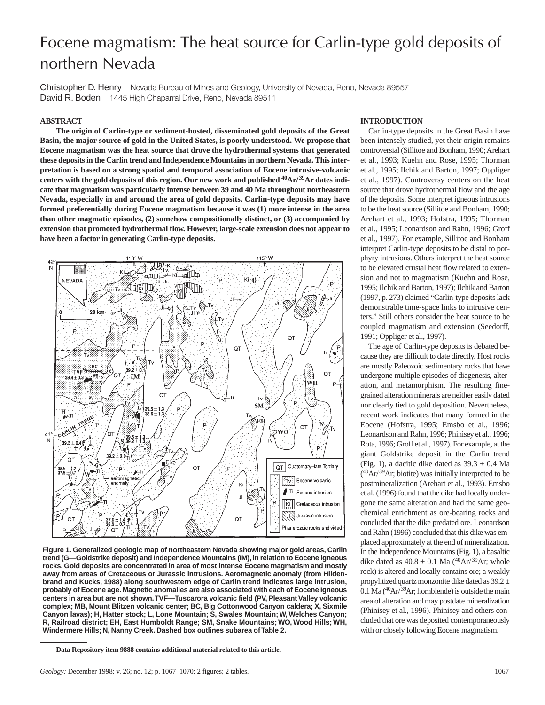# Eocene magmatism: The heat source for Carlin-type gold deposits of northern Nevada

Christopher D. Henry Nevada Bureau of Mines and Geology, University of Nevada, Reno, Nevada 89557 David R. Boden 1445 High Chaparral Drive, Reno, Nevada 89511

## **ABSTRACT**

**The origin of Carlin-type or sediment-hosted, disseminated gold deposits of the Great Basin, the major source of gold in the United States, is poorly understood. We propose that Eocene magmatism was the heat source that drove the hydrothermal systems that generated these deposits in the Carlin trend and Independence Mountains in northern Nevada. This interpretation is based on a strong spatial and temporal association of Eocene intrusive-volcanic** centers with the gold deposits of this region. Our new work and published <sup>40</sup>Ar/<sup>39</sup>Ar dates indi**cate that magmatism was particularly intense between 39 and 40 Ma throughout northeastern Nevada, especially in and around the area of gold deposits. Carlin-type deposits may have formed preferentially during Eocene magmatism because it was (1) more intense in the area than other magmatic episodes, (2) somehow compositionally distinct, or (3) accompanied by extension that promoted hydrothermal flow. However, large-scale extension does not appear to have been a factor in generating Carlin-type deposits.**



**Figure 1. Generalized geologic map of northeastern Nevada showing major gold areas, Carlin trend (G—Goldstrike deposit) and Independence Mountains (IM), in relation to Eocene igneous rocks. Gold deposits are concentrated in area of most intense Eocene magmatism and mostly away from areas of Cretaceous or Jurassic intrusions. Aeromagnetic anomaly (from Hildenbrand and Kucks, 1988) along southwestern edge of Carlin trend indicates large intrusion, probably of Eocene age. Magnetic anomalies are also associated with each of Eocene igneous centers in area but are not shown.TVF—Tuscarora volcanic field (PV, Pleasant Valley volcanic complex; MB, Mount Blitzen volcanic center; BC, Big Cottonwood Canyon caldera; X, Sixmile Canyon lavas); H, Hatter stock; L, Lone Mountain; S, Swales Mountain; W, Welches Canyon; R, Railroad district; EH, East Humboldt Range; SM, Snake Mountains; WO, Wood Hills; WH, Windermere Hills; N, Nanny Creek. Dashed box outlines subarea of Table 2.**

#### **INTRODUCTION**

Carlin-type deposits in the Great Basin have been intensely studied, yet their origin remains controversial (Sillitoe and Bonham, 1990; Arehart et al., 1993; Kuehn and Rose, 1995; Thorman et al., 1995; Ilchik and Barton, 1997; Oppliger et al., 1997). Controversy centers on the heat source that drove hydrothermal flow and the age of the deposits. Some interpret igneous intrusions to be the heat source (Sillitoe and Bonham, 1990; Arehart et al., 1993; Hofstra, 1995; Thorman et al., 1995; Leonardson and Rahn, 1996; Groff et al., 1997). For example, Sillitoe and Bonham interpret Carlin-type deposits to be distal to porphyry intrusions. Others interpret the heat source to be elevated crustal heat flow related to extension and not to magmatism (Kuehn and Rose, 1995; Ilchik and Barton, 1997); Ilchik and Barton (1997, p. 273) claimed "Carlin-type deposits lack demonstrable time-space links to intrusive centers." Still others consider the heat source to be coupled magmatism and extension (Seedorff, 1991; Oppliger et al., 1997).

The age of Carlin-type deposits is debated because they are difficult to date directly. Host rocks are mostly Paleozoic sedimentary rocks that have undergone multiple episodes of diagenesis, alteration, and metamorphism. The resulting finegrained alteration minerals are neither easily dated nor clearly tied to gold deposition. Nevertheless, recent work indicates that many formed in the Eocene (Hofstra, 1995; Emsbo et al., 1996; Leonardson and Rahn, 1996; Phinisey et al., 1996; Rota, 1996; Groff et al., 1997). For example, at the giant Goldstrike deposit in the Carlin trend (Fig. 1), a dacitic dike dated as  $39.3 \pm 0.4$  Ma  $(^{40}Ar/^{39}Ar$ ; biotite) was initially interpreted to be postmineralization (Arehart et al., 1993). Emsbo et al. (1996) found that the dike had locally undergone the same alteration and had the same geochemical enrichment as ore-bearing rocks and concluded that the dike predated ore. Leonardson and Rahn (1996) concluded that this dike was emplaced approximately at the end of mineralization. In the Independence Mountains (Fig. 1), a basaltic dike dated as  $40.8 \pm 0.1$  Ma  $(^{40}Ar/^{39}Ar$ ; whole rock) is altered and locally contains ore; a weakly propylitized quartz monzonite dike dated as 39.2 ± 0.1 Ma  $(^{40}Ar/^{39}Ar$ ; hornblende) is outside the main area of alteration and may postdate mineralization (Phinisey et al., 1996). Phinisey and others concluded that ore was deposited contemporaneously with or closely following Eocene magmatism.

**Data Repository item 9888 contains additional material related to this article.**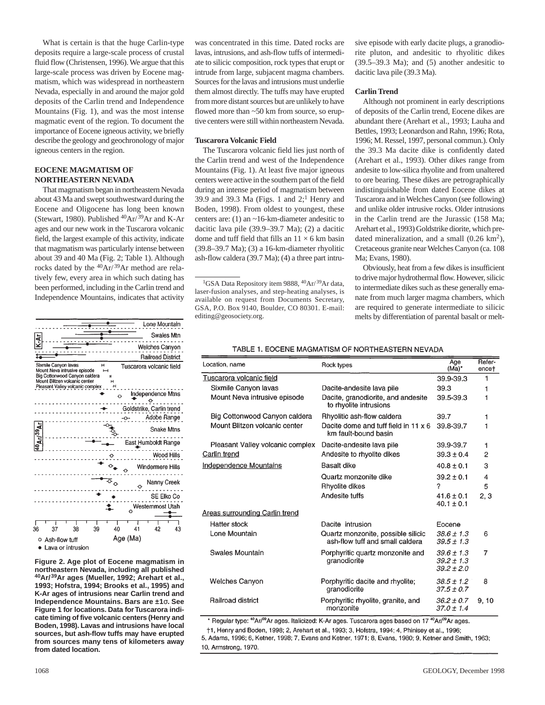What is certain is that the huge Carlin-type deposits require a large-scale process of crustal fluid flow (Christensen, 1996). We argue that this large-scale process was driven by Eocene magmatism, which was widespread in northeastern Nevada, especially in and around the major gold deposits of the Carlin trend and Independence Mountains (Fig. 1), and was the most intense magmatic event of the region. To document the importance of Eocene igneous activity, we briefly describe the geology and geochronology of major igneous centers in the region.

## **EOCENE MAGMATISM OF NORTHEASTERN NEVADA**

That magmatism began in northeastern Nevada about 43 Ma and swept southwestward during the Eocene and Oligocene has long been known (Stewart, 1980). Published <sup>40</sup>Ar/<sup>39</sup>Ar and K-Ar ages and our new work in the Tuscarora volcanic field, the largest example of this activity, indicate that magmatism was particularly intense between about 39 and 40 Ma (Fig. 2; Table 1). Although rocks dated by the  $40Ar/39Ar$  method are relatively few, every area in which such dating has been performed, including in the Carlin trend and Independence Mountains, indicates that activity

|                                                                                                                                                                      | Lone Mountain                           |
|----------------------------------------------------------------------------------------------------------------------------------------------------------------------|-----------------------------------------|
| Ŧ                                                                                                                                                                    | Swales Mtn                              |
|                                                                                                                                                                      | Welches Canyon                          |
|                                                                                                                                                                      | <b>Railroad District</b>                |
| Sixmile Canyon lavas<br>н<br>Mount Neva intrusive episode<br>Big Cottonwood Canyon caldera<br>Mount Blitzen volcanic center<br>н<br>Pleasant Valley volcanic complex | Tuscarora volcanic field<br>н           |
|                                                                                                                                                                      | Independence Mtns                       |
|                                                                                                                                                                      | Goldstrike, Carlin trend<br>Adobe Range |
| <b>Ar/<sup>39</sup>A</b> l                                                                                                                                           | <b>Snake Mtns</b>                       |
|                                                                                                                                                                      | East Humboldt Range                     |
|                                                                                                                                                                      | Wood Hills                              |
|                                                                                                                                                                      | Windermere Hills                        |
|                                                                                                                                                                      | Nanny Creek                             |
|                                                                                                                                                                      | SE Elko Co                              |
|                                                                                                                                                                      | Westemmost Utah                         |
| 36<br>38<br>37<br>39                                                                                                                                                 | 40<br>41<br>42<br>43                    |
| Ash-flow tuff<br>о<br>Lava or intrusion                                                                                                                              | Age (Ma)                                |

**Figure 2. Age plot of Eocene magmatism in northeastern Nevada, including all published 40Ar/ 39Ar ages (Mueller, 1992; Arehart et al., 1993; Hofstra, 1994; Brooks et al., 1995) and K-Ar ages of intrusions near Carlin trend and Independence Mountains. Bars are ±1**σ**. See Figure 1 for locations. Data for Tuscarora indicate timing of five volcanic centers (Henry and Boden, 1998). Lavas and intrusions have local sources, but ash-flow tuffs may have erupted from sources many tens of kilometers away from dated location.**

was concentrated in this time. Dated rocks are lavas, intrusions, and ash-flow tuffs of intermediate to silicic composition, rock types that erupt or intrude from large, subjacent magma chambers. Sources for the lavas and intrusions must underlie them almost directly. The tuffs may have erupted from more distant sources but are unlikely to have flowed more than ~50 km from source, so eruptive centers were still within northeastern Nevada.

## **Tuscarora Volcanic Field**

The Tuscarora volcanic field lies just north of the Carlin trend and west of the Independence Mountains (Fig. 1). At least five major igneous centers were active in the southern part of the field during an intense period of magmatism between 39.9 and 39.3 Ma (Figs. 1 and  $2$ ;<sup>1</sup> Henry and Boden, 1998). From oldest to youngest, these centers are: (1) an ~16-km-diameter andesitic to dacitic lava pile (39.9–39.7 Ma); (2) a dacitic dome and tuff field that fills an  $11 \times 6$  km basin (39.8–39.7 Ma); (3) a 16-km-diameter rhyolitic ash-flow caldera (39.7 Ma); (4) a three part intru-

sive episode with early dacite plugs, a granodiorite pluton, and andesitic to rhyolitic dikes  $(39.5-39.3 \text{ Ma})$ ; and  $(5)$  another andesitic to dacitic lava pile (39.3 Ma).

## **Carlin Trend**

Although not prominent in early descriptions of deposits of the Carlin trend, Eocene dikes are abundant there (Arehart et al., 1993; Lauha and Bettles, 1993; Leonardson and Rahn, 1996; Rota, 1996; M. Ressel, 1997, personal commun.). Only the 39.3 Ma dacite dike is confidently dated (Arehart et al., 1993). Other dikes range from andesite to low-silica rhyolite and from unaltered to ore bearing. These dikes are petrographically indistinguishable from dated Eocene dikes at Tuscarora and in Welches Canyon (see following) and unlike older intrusive rocks. Older intrusions in the Carlin trend are the Jurassic (158 Ma; Arehart et al., 1993) Goldstrike diorite, which predated mineralization, and a small  $(0.26 \text{ km}^2)$ , Cretaceous granite near Welches Canyon (ca. 108 Ma; Evans, 1980).

Obviously, heat from a few dikes is insufficient to drive major hydrothermal flow. However, silicic to intermediate dikes such as these generally emanate from much larger magma chambers, which are required to generate intermediate to silicic melts by differentiation of parental basalt or melt-

## TABLE 1. EOCENE MAGMATISM OF NORTHEASTERN NEVADA

| Location, name                        | Rock types                                                            | Age<br>$(Ma)^*$                                    | Refer-<br>encet         |
|---------------------------------------|-----------------------------------------------------------------------|----------------------------------------------------|-------------------------|
| Tuscarora volcanic field              |                                                                       | 39.9-39.3                                          | 1                       |
| Sixmile Canyon lavas                  | Dacite-andesite lava pile                                             | 39.3                                               |                         |
| Mount Neva intrusive episode          | Dacite, granodiorite, and andesite<br>to rhyolite intrusions          | 39.5-39.3                                          | 1                       |
| Big Cottonwood Canyon caldera         | Rhyolitic ash-flow caldera                                            | 39.7                                               | 1                       |
| Mount Blitzen volcanic center         | Dacite dome and tuff field in 11 x 6<br>km fault-bound basin          | 39.8-39.7                                          |                         |
| Pleasant Valley volcanic complex      | Dacite-andesite lava pile                                             | 39.9-39.7                                          | 1                       |
| Carlin trend                          | Andesite to rhyolite dikes                                            | $39.3 \pm 0.4$                                     | $\overline{2}$          |
| <b>Independence Mountains</b>         | Basalt dike                                                           | $40.8 \pm 0.1$                                     | 3                       |
|                                       | Quartz monzonite dike                                                 | $39.2 + 0.1$                                       | $\overline{\mathbf{4}}$ |
|                                       | Rhyolite dikes                                                        | ?                                                  | 5                       |
|                                       | Andesite tuffs                                                        | $41.6 + 0.1$<br>$40.1 \pm 0.1$                     | 2, 3                    |
| <b>Areas surrounding Carlin trend</b> |                                                                       |                                                    |                         |
| <b>Hatter stock</b>                   | Dacite intrusion                                                      | Eocene                                             |                         |
| Lone Mountain                         | Quartz monzonite, possible silicic<br>ash-flow tuff and small caldera | $38.6 + 1.3$<br>$39.5 \pm 1.3$                     | 6                       |
| Swales Mountain                       | Porphyritic quartz monzonite and<br>granodiorite                      | $39.6 \pm 1.3$<br>$39.2 \pm 1.3$<br>$39.2 \pm 2.0$ | 7                       |
| Welches Canyon                        | Porphyritic dacite and rhyolite;<br>granodiorite                      | $38.5 \pm 1.2$<br>$37.5 \pm 0.7$                   | 8                       |
| Railroad district                     | Porphyritic rhyolite, granite, and<br>monzonite                       | $36.2 \pm 0.7$<br>$37.0 \pm 1.4$                   | 9.10                    |

\* Regular type: <sup>40</sup>Ar/<sup>39</sup>Ar ages. Italicized: K-Ar ages. Tuscarora ages based on 17<sup>40</sup>Ar/<sup>39</sup>Ar ages.

†1, Henry and Boden, 1998; 2, Arehart et al., 1993; 3, Hofstra, 1994; 4, Phinisey et al., 1996; 5, Adams, 1996; 6, Ketner, 1998; 7, Evans and Ketner, 1971; 8, Evans, 1980; 9, Ketner and Smith, 1963;

10, Armstrong, 1970.

<sup>&</sup>lt;sup>1</sup>GSA Data Repository item 9888, <sup>40</sup>Ar/<sup>39</sup>Ar data, laser-fusion analyses, and step-heating analyses, is available on request from Documents Secretary, GSA, P.O. Box 9140, Boulder, CO 80301. E-mail: editing@geosociety.org.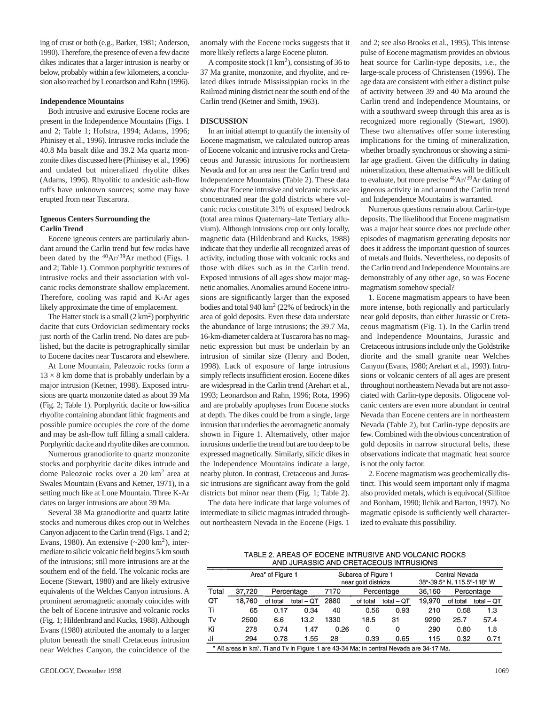ing of crust or both (e.g., Barker, 1981; Anderson, 1990). Therefore, the presence of even a few dacite dikes indicates that a larger intrusion is nearby or below, probably within a few kilometers, a conclusion also reached by Leonardson and Rahn (1996).

### **Independence Mountains**

Both intrusive and extrusive Eocene rocks are present in the Independence Mountains (Figs. 1 and 2; Table 1; Hofstra, 1994; Adams, 1996; Phinisey et al., 1996). Intrusive rocks include the 40.8 Ma basalt dike and 39.2 Ma quartz monzonite dikes discussed here (Phinisey et al., 1996) and undated but mineralized rhyolite dikes (Adams, 1996). Rhyolitic to andesitic ash-flow tuffs have unknown sources; some may have erupted from near Tuscarora.

## **Igneous Centers Surrounding the Carlin Trend**

Eocene igneous centers are particularly abundant around the Carlin trend but few rocks have been dated by the  $^{40}Ar/^{39}Ar$  method (Figs. 1) and 2; Table 1). Common porphyritic textures of intrusive rocks and their association with volcanic rocks demonstrate shallow emplacement. Therefore, cooling was rapid and K-Ar ages likely approximate the time of emplacement.

The Hatter stock is a small  $(2 \text{ km}^2)$  porphyritic dacite that cuts Ordovician sedimentary rocks just north of the Carlin trend. No dates are published, but the dacite is petrographically similar to Eocene dacites near Tuscarora and elsewhere.

At Lone Mountain, Paleozoic rocks form a  $13 \times 8$  km dome that is probably underlain by a major intrusion (Ketner, 1998). Exposed intrusions are quartz monzonite dated as about 39 Ma (Fig. 2; Table 1). Porphyritic dacite or low-silica rhyolite containing abundant lithic fragments and possible pumice occupies the core of the dome and may be ash-flow tuff filling a small caldera. Porphyritic dacite and rhyolite dikes are common.

Numerous granodiorite to quartz monzonite stocks and porphyritic dacite dikes intrude and dome Paleozoic rocks over a 20 km<sup>2</sup> area at Swales Mountain (Evans and Ketner, 1971), in a setting much like at Lone Mountain. Three K-Ar dates on larger intrusions are about 39 Ma.

Several 38 Ma granodiorite and quartz latite stocks and numerous dikes crop out in Welches Canyon adjacent to the Carlin trend (Figs. 1 and 2; Evans, 1980). An extensive  $({\sim}200~\mathrm{km}^2)$ , intermediate to silicic volcanic field begins 5 km south of the intrusions; still more intrusions are at the southern end of the field. The volcanic rocks are Eocene (Stewart, 1980) and are likely extrusive equivalents of the Welches Canyon intrusions. A prominent aeromagnetic anomaly coincides with the belt of Eocene intrusive and volcanic rocks (Fig. 1; Hildenbrand and Kucks, 1988). Although Evans (1980) attributed the anomaly to a larger pluton beneath the small Cretaceous intrusion near Welches Canyon, the coincidence of the

anomaly with the Eocene rocks suggests that it more likely reflects a large Eocene pluton.

A composite stock  $(1 \text{ km}^2)$ , consisting of 36 to 37 Ma granite, monzonite, and rhyolite, and related dikes intrude Mississippian rocks in the Railroad mining district near the south end of the Carlin trend (Ketner and Smith, 1963).

#### **DISCUSSION**

In an initial attempt to quantify the intensity of Eocene magmatism, we calculated outcrop areas of Eocene volcanic and intrusive rocks and Cretaceous and Jurassic intrusions for northeastern Nevada and for an area near the Carlin trend and Independence Mountains (Table 2). These data show that Eocene intrusive and volcanic rocks are concentrated near the gold districts where volcanic rocks constitute 31% of exposed bedrock (total area minus Quaternary–late Tertiary alluvium). Although intrusions crop out only locally, magnetic data (Hildenbrand and Kucks, 1988) indicate that they underlie all recognized areas of activity, including those with volcanic rocks and those with dikes such as in the Carlin trend. Exposed intrusions of all ages show major magnetic anomalies. Anomalies around Eocene intrusions are significantly larger than the exposed bodies and total 940 km2 (22% of bedrock) in the area of gold deposits. Even these data understate the abundance of large intrusions; the 39.7 Ma, 16-km-diameter caldera at Tuscarora has no magnetic expression but must be underlain by an intrusion of similar size (Henry and Boden, 1998). Lack of exposure of large intrusions simply reflects insufficient erosion. Eocene dikes are widespread in the Carlin trend (Arehart et al., 1993; Leonardson and Rahn, 1996; Rota, 1996) and are probably apophyses from Eocene stocks at depth. The dikes could be from a single, large intrusion that underlies the aeromagnetic anomaly shown in Figure 1. Alternatively, other major intrusions underlie the trend but are too deep to be expressed magnetically. Similarly, silicic dikes in the Independence Mountains indicate a large, nearby pluton. In contrast, Cretaceous and Jurassic intrusions are significant away from the gold districts but minor near them (Fig. 1; Table 2).

The data here indicate that large volumes of intermediate to silicic magmas intruded throughout northeastern Nevada in the Eocene (Figs. 1

and 2; see also Brooks et al., 1995). This intense pulse of Eocene magmatism provides an obvious heat source for Carlin-type deposits, i.e., the large-scale process of Christensen (1996). The age data are consistent with either a distinct pulse of activity between 39 and 40 Ma around the Carlin trend and Independence Mountains, or with a southward sweep through this area as is recognized more regionally (Stewart, 1980). These two alternatives offer some interesting implications for the timing of mineralization, whether broadly synchronous or showing a similar age gradient. Given the difficulty in dating mineralization, these alternatives will be difficult to evaluate, but more precise  ${}^{40}Ar/{}^{39}Ar$  dating of igneous activity in and around the Carlin trend and Independence Mountains is warranted.

Numerous questions remain about Carlin-type deposits. The likelihood that Eocene magmatism was a major heat source does not preclude other episodes of magmatism generating deposits nor does it address the important question of sources of metals and fluids. Nevertheless, no deposits of the Carlin trend and Independence Mountains are demonstrably of any other age, so was Eocene magmatism somehow special?

1. Eocene magmatism appears to have been more intense, both regionally and particularly near gold deposits, than either Jurassic or Cretaceous magmatism (Fig. 1). In the Carlin trend and Independence Mountains, Jurassic and Cretaceous intrusions include only the Goldstrike diorite and the small granite near Welches Canyon (Evans, 1980; Arehart et al., 1993). Intrusions or volcanic centers of all ages are present throughout northeastern Nevada but are not associated with Carlin-type deposits. Oligocene volcanic centers are even more abundant in central Nevada than Eocene centers are in northeastern Nevada (Table 2), but Carlin-type deposits are few. Combined with the obvious concentration of gold deposits in narrow structural belts, these observations indicate that magmatic heat source is not the only factor.

2. Eocene magmatism was geochemically distinct. This would seem important only if magma also provided metals, which is equivocal (Sillitoe and Bonham, 1990; Ilchik and Barton, 1997). No magmatic episode is sufficiently well characterized to evaluate this possibility.

TABLE 2. AREAS OF EOCENE INTRUSIVE AND VOLCANIC ROCKS AND JURASSIC AND CRETACEOUS INTRUSIONS

|       | Area* of Figure 1                                                                                    |            |              | Subarea of Figure 1<br>near gold districts |          | Central Nevada<br>38°-39.5° N, 115.5°-118° W |        |          |              |
|-------|------------------------------------------------------------------------------------------------------|------------|--------------|--------------------------------------------|----------|----------------------------------------------|--------|----------|--------------|
| Total | 37,720                                                                                               | Percentage |              | 7170                                       |          | Percentage                                   | 36,160 |          | Percentage   |
| QТ    | 18.760                                                                                               | of total   | total $-$ QT | 2880                                       | of total | total $-$ QT                                 | 19,970 | of total | total $-$ QT |
| Ti    | 65                                                                                                   | 0.17       | 0.34         | 40                                         | 0.56     | 0.93                                         | 210    | 0.58     | 1.3          |
| Tv    | 2500                                                                                                 | 6.6        | 13.2         | 1330                                       | 18.5     | 31                                           | 9290   | 25.7     | 57.4         |
| Κi    | 278                                                                                                  | 0.74       | 1.47         | 0.26                                       | 0        | 0                                            | 290    | 0.80     | 1.8          |
| Ji    | 294                                                                                                  | 0.78       | 1.55         | 28                                         | 0.39     | 0.65                                         | 115    | 0.32     | 0.71         |
|       | * All areas in km <sup>2</sup> . Ti and Tv in Figure 1 are 43-34 Ma; in central Nevada are 34-17 Ma. |            |              |                                            |          |                                              |        |          |              |